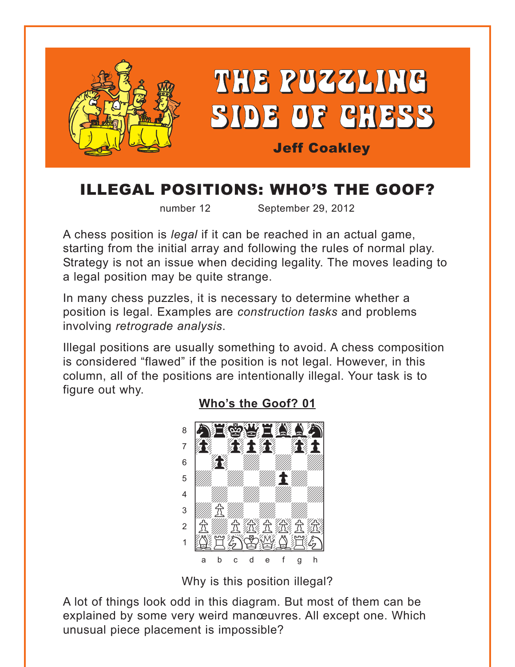<span id="page-0-0"></span>

# ILLEGAL POSITIONS: WHO'S THE GOOF?

number 12 September 29, 2012

A chess position is *legal* if it can be reached in an actual game, starting from the initial array and following the rules of normal play. Strategy is not an issue when deciding legality. The moves leading to a legal position may be quite strange.

In many chess puzzles, it is necessary to determine whether a position is legal. Examples are *construction tasks* and problems involving *retrograde analysis*.

Illegal positions are usually something to avoid. A chess composition is considered "flawed" if the position is not legal. However, in this column, all of the positions are intentionally illegal. Your task is to figure out why.



#### **[Who's the Goof? 01](#page-4-0)**

Why is this position illegal?

A lot of things look odd in this diagram. But most of them can be explained by some very weird manœuvres. All except one. Which unusual piece placement is impossible?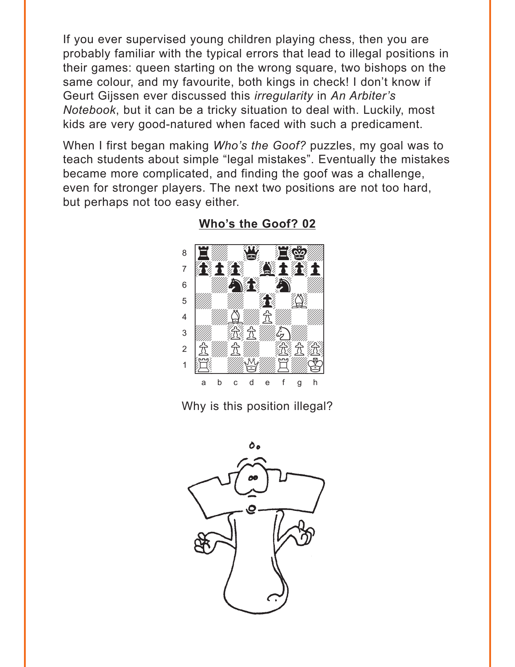<span id="page-1-0"></span>If you ever supervised young children playing chess, then you are probably familiar with the typical errors that lead to illegal positions in their games: queen starting on the wrong square, two bishops on the same colour, and my favourite, both kings in check! I don't know if Geurt Gijssen ever discussed this *irregularity* in An Arbiter's Notebook, but it can be a tricky situation to deal with. Luckily, most kids are very good-natured when faced with such a predicament.

When I first began making Who's the Goof? puzzles, my goal was to teach students about simple "legal mistakes". Eventually the mistakes became more complicated, and finding the goof was a challenge, even for stronger players. The next two positions are not too hard, but perhaps not too easy either.



Who's the Goof? 02

Why is this position illegal?

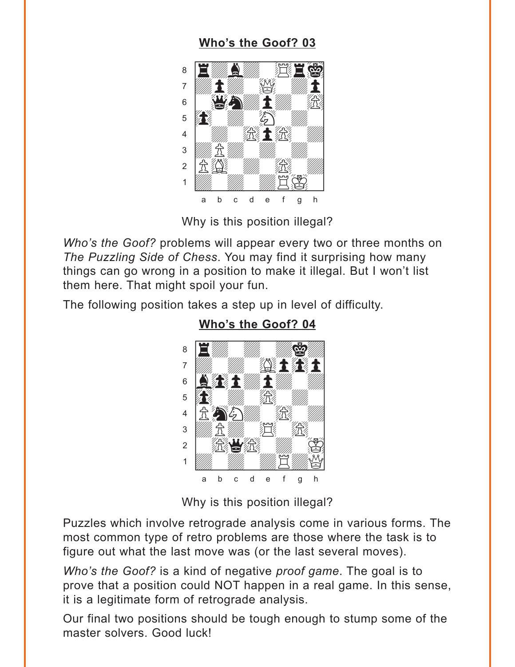### Who's the Goof? 03

<span id="page-2-0"></span>

Why is this position illegal?

Who's the Goof? problems will appear every two or three months on The Puzzling Side of Chess. You may find it surprising how many things can go wrong in a position to make it illegal. But I won't list them here. That might spoil your fun.

The following position takes a step up in level of difficulty.



Who's the Goof? 04

Why is this position illegal?

Puzzles which involve retrograde analysis come in various forms. The most common type of retro problems are those where the task is to figure out what the last move was (or the last several moves).

Who's the Goof? is a kind of negative proof game. The goal is to prove that a position could NOT happen in a real game. In this sense, it is a legitimate form of retrograde analysis.

Our final two positions should be tough enough to stump some of the master solvers. Good luck!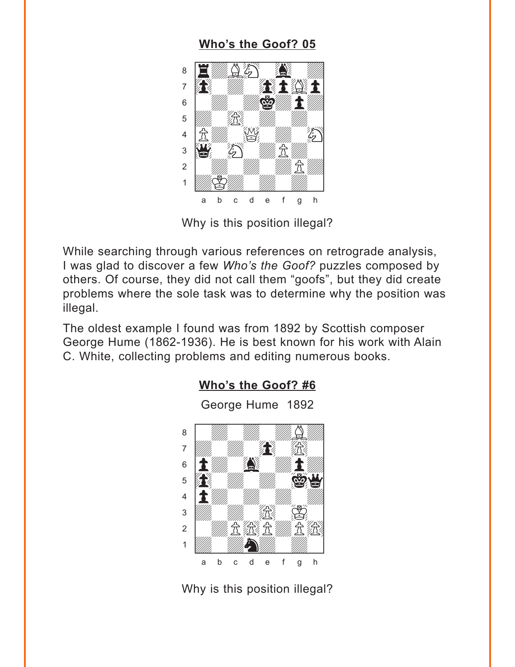### Who's the Goof? 05

<span id="page-3-0"></span>

Why is this position illegal?

While searching through various references on retrograde analysis, I was glad to discover a few Who's the Goof? puzzles composed by others. Of course, they did not call them "goofs", but they did create problems where the sole task was to determine why the position was illegal.

The oldest example I found was from 1892 by Scottish composer George Hume (1862-1936). He is best known for his work with Alain C. White, collecting problems and editing numerous books.

Who's the Goof? #6



Why is this position illegal?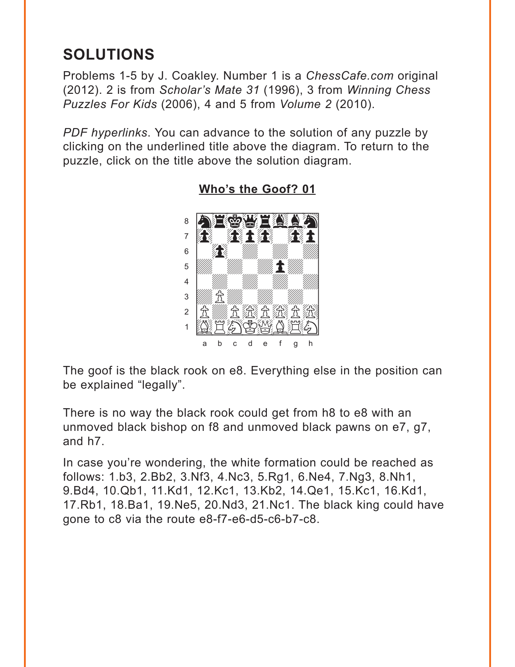# <span id="page-4-0"></span>**SOLUTIONS**

Problems 1-5 by J. Coakley. Number 1 is a *ChessCafe.com* original (2012). 2 is from *Scholar's Mate 31* (1996), 3 from *Winning Chess Puzzles For Kids* (2006), 4 and 5 from *Volume 2* (2010).

*PDF hyperlinks*. You can advance to the solution of any puzzle by clicking on the underlined title above the diagram. To return to the puzzle, click on the title above the solution diagram.



**[Who's the Goof? 01](#page-0-0)**

The goof is the black rook on e8. Everything else in the position can be explained "legally".

There is no way the black rook could get from h8 to e8 with an unmoved black bishop on f8 and unmoved black pawns on e7, g7, and h7.

In case you're wondering, the white formation could be reached as follows: 1.b3, 2.Bb2, 3.Nf3, 4.Nc3, 5.Rg1, 6.Ne4, 7.Ng3, 8.Nh1, 9.Bd4, 10.Qb1, 11.Kd1, 12.Kc1, 13.Kb2, 14.Qe1, 15.Kc1, 16.Kd1, 17.Rb1, 18.Ba1, 19.Ne5, 20.Nd3, 21.Nc1. The black king could have gone to c8 via the route e8-f7-e6-d5-c6-b7-c8.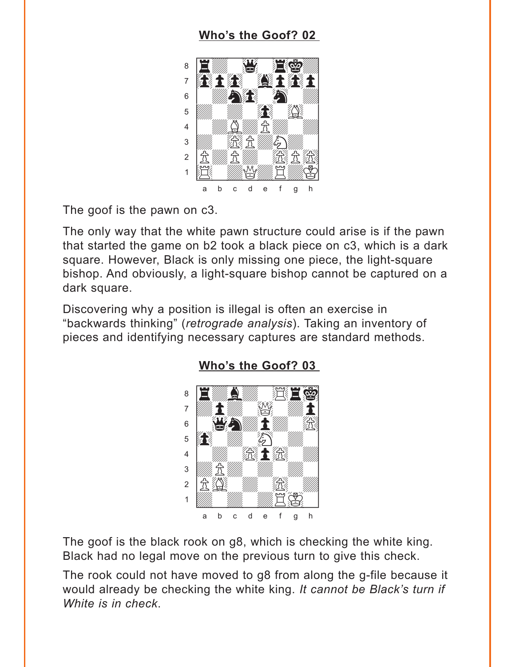### Who's the Goof? 02

<span id="page-5-0"></span>

The goof is the pawn on c3.

The only way that the white pawn structure could arise is if the pawn that started the game on b2 took a black piece on c3, which is a dark square. However, Black is only missing one piece, the light-square bishop. And obviously, a light-square bishop cannot be captured on a dark square.

Discovering why a position is illegal is often an exercise in "backwards thinking" (retrograde analysis). Taking an inventory of pieces and identifying necessary captures are standard methods.



#### Who's the Goof? 03

The goof is the black rook on g8, which is checking the white king. Black had no legal move on the previous turn to give this check.

The rook could not have moved to g8 from along the g-file because it would already be checking the white king. It cannot be Black's turn if White is in check.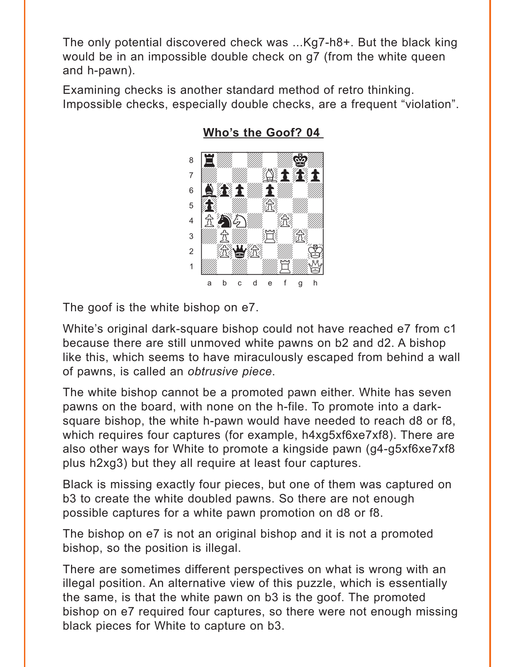<span id="page-6-0"></span>The only potential discovered check was ...Kg7-h8+. But the black king would be in an impossible double check on g7 (from the white queen and h-pawn).

Examining checks is another standard method of retro thinking. Impossible checks, especially double checks, are a frequent "violation".



**[Who's the Goof? 04](#page-2-0)** 

The goof is the white bishop on e7.

White's original dark-square bishop could not have reached e7 from c1 because there are still unmoved white pawns on b2 and d2. A bishop like this, which seems to have miraculously escaped from behind a wall of pawns, is called an *obtrusive piece*.

The white bishop cannot be a promoted pawn either. White has seven pawns on the board, with none on the h-file. To promote into a darksquare bishop, the white h-pawn would have needed to reach d8 or f8, which requires four captures (for example, h4xg5xf6xe7xf8). There are also other ways for White to promote a kingside pawn (g4-g5xf6xe7xf8 plus h2xg3) but they all require at least four captures.

Black is missing exactly four pieces, but one of them was captured on b3 to create the white doubled pawns. So there are not enough possible captures for a white pawn promotion on d8 or f8.

The bishop on e7 is not an original bishop and it is not a promoted bishop, so the position is illegal.

There are sometimes different perspectives on what is wrong with an illegal position. An alternative view of this puzzle, which is essentially the same, is that the white pawn on b3 is the goof. The promoted bishop on e7 required four captures, so there were not enough missing black pieces for White to capture on b3.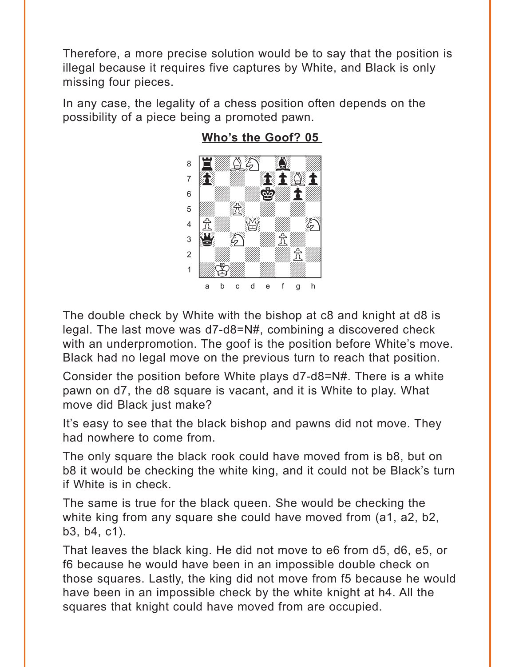<span id="page-7-0"></span>Therefore, a more precise solution would be to say that the position is illegal because it requires five captures by White, and Black is only missing four pieces.

In any case, the legality of a chess position often depends on the possibility of a piece being a promoted pawn.



### **[Who's the Goof? 05](#page-3-0)**

The double check by White with the bishop at c8 and knight at d8 is legal. The last move was d7-d8=N#, combining a discovered check with an underpromotion. The goof is the position before White's move. Black had no legal move on the previous turn to reach that position.

Consider the position before White plays d7-d8=N#. There is a white pawn on d7, the d8 square is vacant, and it is White to play. What move did Black just make?

It's easy to see that the black bishop and pawns did not move. They had nowhere to come from.

The only square the black rook could have moved from is b8, but on b8 it would be checking the white king, and it could not be Black's turn if White is in check.

The same is true for the black queen. She would be checking the white king from any square she could have moved from (a1, a2, b2, b3, b4, c1).

That leaves the black king. He did not move to e6 from d5, d6, e5, or f6 because he would have been in an impossible double check on those squares. Lastly, the king did not move from f5 because he would have been in an impossible check by the white knight at h4. All the squares that knight could have moved from are occupied.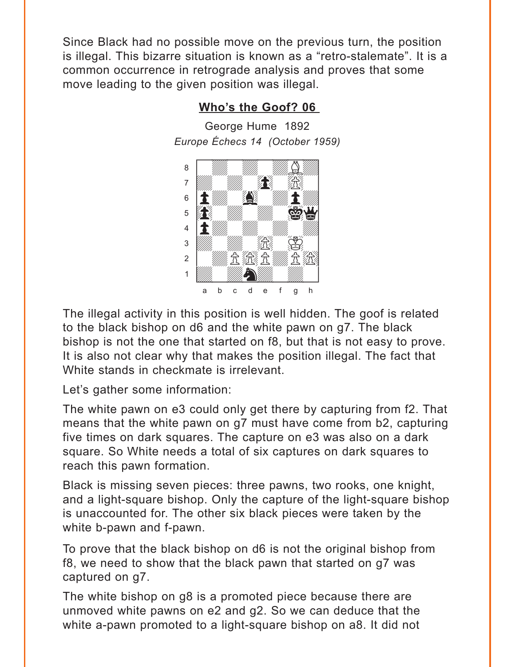<span id="page-8-0"></span>Since Black had no possible move on the previous turn, the position is illegal. This bizarre situation is known as a "retro-stalemate". It is a common occurrence in retrograde analysis and proves that some move leading to the given position was illegal.

### **[Who's the Goof? 06](#page-3-0)**

George Hume 1892 *Europe Échecs 14 (October 1959)*



The illegal activity in this position is well hidden. The goof is related to the black bishop on d6 and the white pawn on g7. The black bishop is not the one that started on f8, but that is not easy to prove. It is also not clear why that makes the position illegal. The fact that White stands in checkmate is irrelevant.

Let's gather some information:

The white pawn on e3 could only get there by capturing from f2. That means that the white pawn on g7 must have come from b2, capturing five times on dark squares. The capture on e3 was also on a dark square. So White needs a total of six captures on dark squares to reach this pawn formation.

Black is missing seven pieces: three pawns, two rooks, one knight, and a light-square bishop. Only the capture of the light-square bishop is unaccounted for. The other six black pieces were taken by the white b-pawn and f-pawn.

To prove that the black bishop on d6 is not the original bishop from f8, we need to show that the black pawn that started on g7 was captured on g7.

The white bishop on g8 is a promoted piece because there are unmoved white pawns on e2 and g2. So we can deduce that the white a-pawn promoted to a light-square bishop on a8. It did not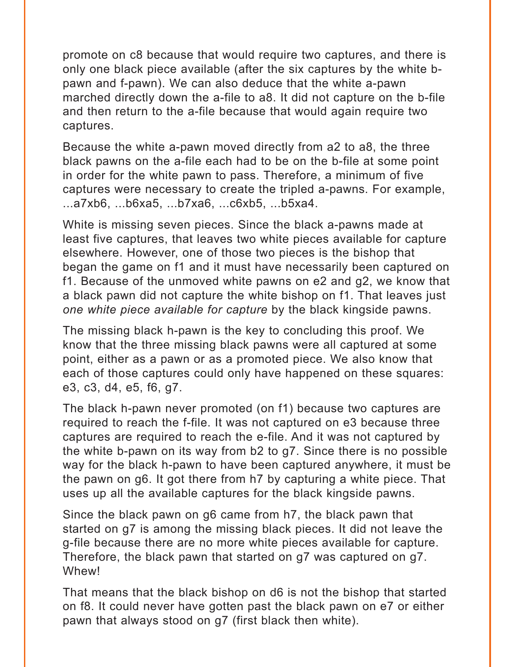promote on c8 because that would require two captures, and there is only one black piece available (after the six captures by the white bpawn and f-pawn). We can also deduce that the white a-pawn marched directly down the a-file to a8. It did not capture on the b-file and then return to the a-file because that would again require two captures.

Because the white a-pawn moved directly from a2 to a8, the three black pawns on the a-file each had to be on the b-file at some point in order for the white pawn to pass. Therefore, a minimum of five captures were necessary to create the tripled a-pawns. For example, ...a7xb6, ...b6xa5, ...b7xa6, ...c6xb5, ...b5xa4.

White is missing seven pieces. Since the black a-pawns made at least five captures, that leaves two white pieces available for capture elsewhere. However, one of those two pieces is the bishop that began the game on f1 and it must have necessarily been captured on f1. Because of the unmoved white pawns on e2 and g2, we know that a black pawn did not capture the white bishop on f1. That leaves just *one white piece available for capture* by the black kingside pawns.

The missing black h-pawn is the key to concluding this proof. We know that the three missing black pawns were all captured at some point, either as a pawn or as a promoted piece. We also know that each of those captures could only have happened on these squares: e3, c3, d4, e5, f6, g7.

The black h-pawn never promoted (on f1) because two captures are required to reach the f-file. It was not captured on e3 because three captures are required to reach the e-file. And it was not captured by the white b-pawn on its way from b2 to g7. Since there is no possible way for the black h-pawn to have been captured anywhere, it must be the pawn on g6. It got there from h7 by capturing a white piece. That uses up all the available captures for the black kingside pawns.

Since the black pawn on g6 came from h7, the black pawn that started on g7 is among the missing black pieces. It did not leave the g-file because there are no more white pieces available for capture. Therefore, the black pawn that started on g7 was captured on g7. Whew!

That means that the black bishop on d6 is not the bishop that started on f8. It could never have gotten past the black pawn on e7 or either pawn that always stood on g7 (first black then white).